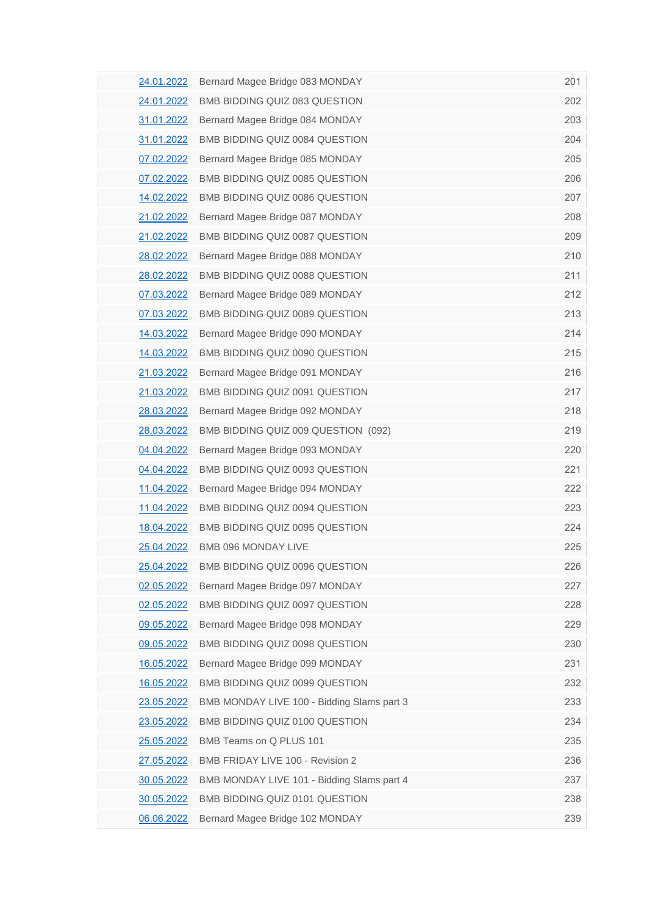| 24.01.2022        | Bernard Magee Bridge 083 MONDAY            | 201 |
|-------------------|--------------------------------------------|-----|
| 24.01.2022        | BMB BIDDING QUIZ 083 QUESTION              | 202 |
| 31.01.2022        | Bernard Magee Bridge 084 MONDAY            | 203 |
| 31.01.2022        | BMB BIDDING QUIZ 0084 QUESTION             | 204 |
| 07.02.2022        | Bernard Magee Bridge 085 MONDAY            | 205 |
| 07.02.2022        | BMB BIDDING QUIZ 0085 QUESTION             | 206 |
| <u>14.02.2022</u> | BMB BIDDING QUIZ 0086 QUESTION             | 207 |
| 21.02.2022        | Bernard Magee Bridge 087 MONDAY            | 208 |
| 21.02.2022        | BMB BIDDING QUIZ 0087 QUESTION             | 209 |
| 28.02.2022        | Bernard Magee Bridge 088 MONDAY            | 210 |
| 28.02.2022        | BMB BIDDING QUIZ 0088 QUESTION             | 211 |
| 07.03.2022        | Bernard Magee Bridge 089 MONDAY            | 212 |
| 07.03.2022        | BMB BIDDING QUIZ 0089 QUESTION             | 213 |
| 14.03.2022        | Bernard Magee Bridge 090 MONDAY            | 214 |
| 14.03.2022        | BMB BIDDING QUIZ 0090 QUESTION             | 215 |
| 21.03.2022        | Bernard Magee Bridge 091 MONDAY            | 216 |
| 21.03.2022        | BMB BIDDING QUIZ 0091 QUESTION             | 217 |
| 28.03.2022        | Bernard Magee Bridge 092 MONDAY            | 218 |
| 28.03.2022        | BMB BIDDING QUIZ 009 QUESTION (092)        | 219 |
| 04.04.2022        | Bernard Magee Bridge 093 MONDAY            | 220 |
| 04.04.2022        | BMB BIDDING QUIZ 0093 QUESTION             | 221 |
| 11.04.2022        | Bernard Magee Bridge 094 MONDAY            | 222 |
| 11.04.2022        | BMB BIDDING QUIZ 0094 QUESTION             | 223 |
| 18.04.2022        | BMB BIDDING QUIZ 0095 QUESTION             | 224 |
| 25.04.2022        | BMB 096 MONDAY LIVE                        | 225 |
| 25.04.2022        | BMB BIDDING QUIZ 0096 QUESTION             | 226 |
| 02.05.2022        | Bernard Magee Bridge 097 MONDAY            | 227 |
| 02.05.2022        | BMB BIDDING QUIZ 0097 QUESTION             | 228 |
| 09.05.2022        | Bernard Magee Bridge 098 MONDAY            | 229 |
| 09.05.2022        | BMB BIDDING QUIZ 0098 QUESTION             | 230 |
| 16.05.2022        | Bernard Magee Bridge 099 MONDAY            | 231 |
| <u>16.05.2022</u> | BMB BIDDING QUIZ 0099 QUESTION             | 232 |
| 23.05.2022        | BMB MONDAY LIVE 100 - Bidding Slams part 3 | 233 |
| 23.05.2022        | BMB BIDDING QUIZ 0100 QUESTION             | 234 |
| 25.05.2022        | BMB Teams on Q PLUS 101                    | 235 |
| 27.05.2022        | BMB FRIDAY LIVE 100 - Revision 2           | 236 |
| 30.05.2022        | BMB MONDAY LIVE 101 - Bidding Slams part 4 | 237 |
| 30.05.2022        | BMB BIDDING QUIZ 0101 QUESTION             | 238 |
| 06.06.2022        | Bernard Magee Bridge 102 MONDAY            | 239 |